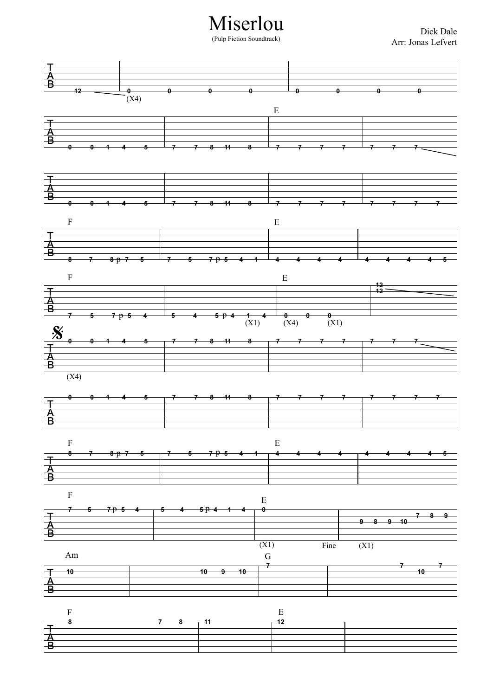Miserlou

(Pulp Fiction Soundtrack)